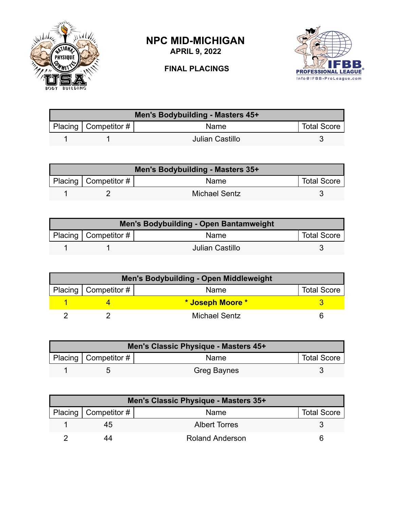

## **NPC MID-MICHIGAN**

**APRIL 9, 2022**

## **FINAL PLACINGS**



| Men's Bodybuilding - Masters 45+ |                           |                 |                    |  |
|----------------------------------|---------------------------|-----------------|--------------------|--|
|                                  | Placing   Competitor $\#$ | <b>Name</b>     | <b>Total Score</b> |  |
|                                  |                           | Julian Castillo |                    |  |

| Men's Bodybuilding - Masters 35+ |                           |                      |                    |  |
|----------------------------------|---------------------------|----------------------|--------------------|--|
|                                  | Placing   Competitor $\#$ | <b>Name</b>          | <b>Total Score</b> |  |
|                                  |                           | <b>Michael Sentz</b> |                    |  |

| Men's Bodybuilding - Open Bantamweight |                          |                 |                    |  |
|----------------------------------------|--------------------------|-----------------|--------------------|--|
|                                        | Placing   Competitor $#$ | <b>Name</b>     | <b>Total Score</b> |  |
|                                        |                          | Julian Castillo |                    |  |

| Men's Bodybuilding - Open Middleweight |                        |                  |                    |  |
|----------------------------------------|------------------------|------------------|--------------------|--|
|                                        | Placing   Competitor # | Name             | <b>Total Score</b> |  |
|                                        |                        | * Joseph Moore * |                    |  |
|                                        |                        | Michael Sentz    |                    |  |

| Men's Classic Physique - Masters 45+ |                        |                    |                    |  |
|--------------------------------------|------------------------|--------------------|--------------------|--|
|                                      | Placing   Competitor # | Name               | <b>Total Score</b> |  |
|                                      |                        | <b>Greg Baynes</b> |                    |  |

| Men's Classic Physique - Masters 35+ |                        |                    |  |  |
|--------------------------------------|------------------------|--------------------|--|--|
| Placing   Competitor #               | Name                   | <b>Total Score</b> |  |  |
| 45                                   | <b>Albert Torres</b>   |                    |  |  |
| 44                                   | <b>Roland Anderson</b> | ห                  |  |  |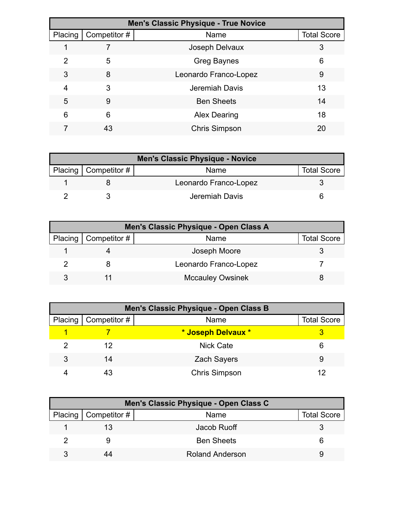| <b>Men's Classic Physique - True Novice</b> |              |                       |                    |  |
|---------------------------------------------|--------------|-----------------------|--------------------|--|
| Placing                                     | Competitor # | Name                  | <b>Total Score</b> |  |
|                                             |              | Joseph Delvaux        | 3                  |  |
| 2                                           | 5            | <b>Greg Baynes</b>    | 6                  |  |
| 3                                           | 8            | Leonardo Franco-Lopez | 9                  |  |
| 4                                           | 3            | Jeremiah Davis        | 13                 |  |
| 5                                           | 9            | <b>Ben Sheets</b>     | 14                 |  |
| 6                                           | 6            | <b>Alex Dearing</b>   | 18                 |  |
|                                             | 43           | <b>Chris Simpson</b>  | 20                 |  |

| <b>Men's Classic Physique - Novice</b> |                              |                       |                    |
|----------------------------------------|------------------------------|-----------------------|--------------------|
|                                        | Placing $\vert$ Competitor # | Name                  | <b>Total Score</b> |
|                                        |                              | Leonardo Franco-Lopez |                    |
|                                        |                              | Jeremiah Davis        |                    |

| Men's Classic Physique - Open Class A |                              |                         |                    |  |
|---------------------------------------|------------------------------|-------------------------|--------------------|--|
|                                       | Placing $\vert$ Competitor # | Name                    | <b>Total Score</b> |  |
|                                       |                              | Joseph Moore            |                    |  |
|                                       |                              | Leonardo Franco-Lopez   |                    |  |
|                                       |                              | <b>Mccauley Owsinek</b> |                    |  |

| Men's Classic Physique - Open Class B |                              |                      |                    |  |
|---------------------------------------|------------------------------|----------------------|--------------------|--|
|                                       | Placing $\vert$ Competitor # | Name                 | <b>Total Score</b> |  |
|                                       |                              | * Joseph Delvaux *   |                    |  |
|                                       | 12                           | <b>Nick Cate</b>     |                    |  |
| 3                                     | 14                           | <b>Zach Sayers</b>   | 9                  |  |
|                                       | 43                           | <b>Chris Simpson</b> |                    |  |

| Men's Classic Physique - Open Class C |                        |                    |  |  |
|---------------------------------------|------------------------|--------------------|--|--|
| Placing $\vert$ Competitor #          | Name                   | <b>Total Score</b> |  |  |
|                                       | Jacob Ruoff            |                    |  |  |
|                                       | <b>Ben Sheets</b>      |                    |  |  |
|                                       | <b>Roland Anderson</b> |                    |  |  |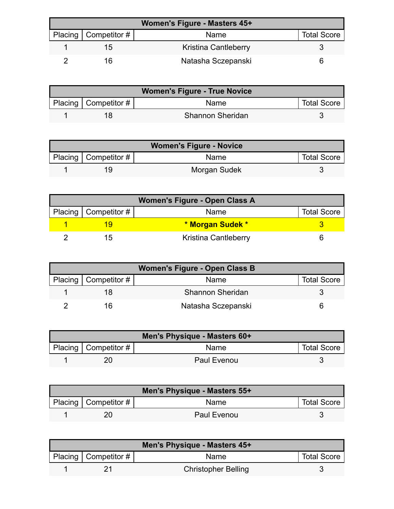| Women's Figure - Masters 45+ |                        |                             |                    |  |
|------------------------------|------------------------|-----------------------------|--------------------|--|
|                              | Placing   Competitor # | <b>Name</b>                 | <b>Total Score</b> |  |
|                              | 15                     | <b>Kristina Cantleberry</b> |                    |  |
|                              | 16                     | Natasha Sczepanski          |                    |  |

| <b>Women's Figure - True Novice</b> |                        |                         |                    |  |
|-------------------------------------|------------------------|-------------------------|--------------------|--|
|                                     | Placing   Competitor # | Name                    | <b>Total Score</b> |  |
|                                     |                        | <b>Shannon Sheridan</b> |                    |  |

| <b>Women's Figure - Novice</b> |                          |              |                    |
|--------------------------------|--------------------------|--------------|--------------------|
|                                | Placing   Competitor $#$ | <b>Name</b>  | <b>Total Score</b> |
|                                |                          | Morgan Sudek |                    |

| Women's Figure - Open Class A |                          |                             |                    |  |
|-------------------------------|--------------------------|-----------------------------|--------------------|--|
|                               | Placing   Competitor $#$ | Name                        | <b>Total Score</b> |  |
|                               |                          | * Morgan Sudek *            |                    |  |
|                               | ריו                      | <b>Kristina Cantleberry</b> |                    |  |

| <b>Women's Figure - Open Class B</b> |                        |                         |                    |  |
|--------------------------------------|------------------------|-------------------------|--------------------|--|
|                                      | Placing   Competitor # | Name                    | <b>Total Score</b> |  |
|                                      |                        | <b>Shannon Sheridan</b> |                    |  |
|                                      |                        | Natasha Sczepanski      |                    |  |

| Men's Physique - Masters 60+ |                        |             |                    |  |
|------------------------------|------------------------|-------------|--------------------|--|
|                              | Placing   Competitor # | <b>Name</b> | <b>Total Score</b> |  |
|                              |                        | Paul Evenou |                    |  |

| Men's Physique - Masters 55+ |                           |             |                    |  |
|------------------------------|---------------------------|-------------|--------------------|--|
|                              | Placing   Competitor $\#$ | <b>Name</b> | <b>Total Score</b> |  |
|                              |                           | Paul Evenou |                    |  |

| Men's Physique - Masters 45+ |                          |                            |                    |  |
|------------------------------|--------------------------|----------------------------|--------------------|--|
|                              | Placing   Competitor $#$ | Name                       | <b>Total Score</b> |  |
|                              |                          | <b>Christopher Belling</b> |                    |  |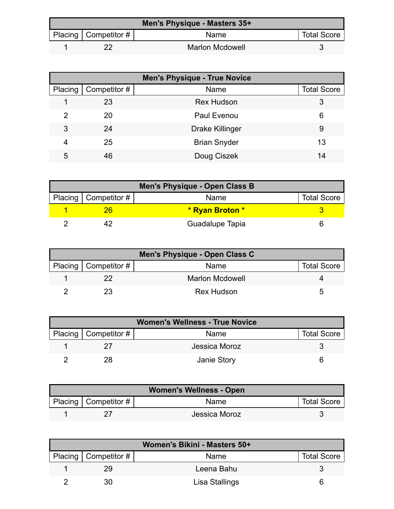| Men's Physique - Masters 35+ |                        |                        |                    |  |
|------------------------------|------------------------|------------------------|--------------------|--|
|                              | Placing   Competitor # | <b>Name</b>            | <b>Total Score</b> |  |
|                              |                        | <b>Marlon Mcdowell</b> |                    |  |

| <b>Men's Physique - True Novice</b> |              |                        |                    |
|-------------------------------------|--------------|------------------------|--------------------|
| Placing                             | Competitor # | Name                   | <b>Total Score</b> |
|                                     | 23           | <b>Rex Hudson</b>      | 3                  |
| 2                                   | 20           | <b>Paul Evenou</b>     | 6                  |
| 3                                   | 24           | <b>Drake Killinger</b> | 9                  |
| 4                                   | 25           | <b>Brian Snyder</b>    | 13                 |
| 5                                   | 46           | Doug Ciszek            | 14                 |

| Men's Physique - Open Class B |                 |                    |  |  |
|-------------------------------|-----------------|--------------------|--|--|
| Placing   Competitor #        | Name            | <b>Total Score</b> |  |  |
|                               | * Ryan Broton * |                    |  |  |
|                               | Guadalupe Tapia |                    |  |  |

| Men's Physique - Open Class C |                        |                        |                    |  |
|-------------------------------|------------------------|------------------------|--------------------|--|
|                               | Placing   Competitor # | <b>Name</b>            | <b>Total Score</b> |  |
|                               |                        | <b>Marlon Mcdowell</b> |                    |  |
|                               |                        | <b>Rex Hudson</b>      |                    |  |

| <b>Women's Wellness - True Novice</b> |                        |               |                    |
|---------------------------------------|------------------------|---------------|--------------------|
|                                       | Placing   Competitor # | Name          | <b>Total Score</b> |
|                                       |                        | Jessica Moroz |                    |
|                                       | 28                     | Janie Story   |                    |

| <b>Women's Wellness - Open</b> |                        |               |                    |
|--------------------------------|------------------------|---------------|--------------------|
|                                | Placing   Competitor # | Name          | <b>Total Score</b> |
|                                |                        | Jessica Moroz |                    |

| Women's Bikini - Masters 50+ |                        |                |                    |
|------------------------------|------------------------|----------------|--------------------|
|                              | Placing   Competitor # | <b>Name</b>    | <b>Total Score</b> |
|                              |                        | Leena Bahu     |                    |
|                              |                        | Lisa Stallings |                    |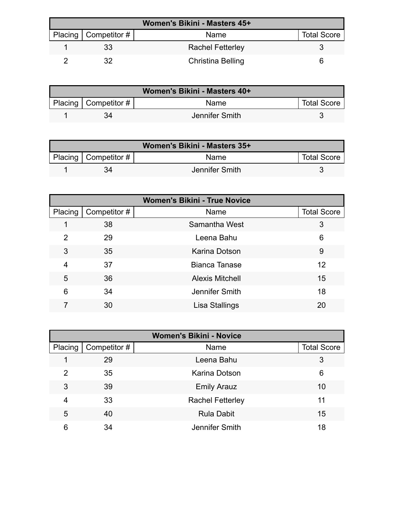| Women's Bikini - Masters 45+ |                        |                         |                    |  |
|------------------------------|------------------------|-------------------------|--------------------|--|
|                              | Placing   Competitor # | Name                    | <b>Total Score</b> |  |
|                              |                        | <b>Rachel Fetterley</b> |                    |  |
|                              |                        | Christina Belling       |                    |  |

| Women's Bikini - Masters 40+ |                                      |                |                    |
|------------------------------|--------------------------------------|----------------|--------------------|
|                              | Placing $\vert$ Competitor # $\vert$ | Name           | <b>Total Score</b> |
|                              |                                      | Jennifer Smith |                    |

| Women's Bikini - Masters 35+ |                        |                |                    |
|------------------------------|------------------------|----------------|--------------------|
|                              | Placing   Competitor # | <b>Name</b>    | <b>Total Score</b> |
|                              |                        | Jennifer Smith |                    |

| <b>Women's Bikini - True Novice</b> |             |                        |                    |  |
|-------------------------------------|-------------|------------------------|--------------------|--|
| Placing                             | Competitor# | Name                   | <b>Total Score</b> |  |
| 1                                   | 38          | Samantha West          | 3                  |  |
| $\overline{2}$                      | 29          | Leena Bahu             | 6                  |  |
| 3                                   | 35          | Karina Dotson          | 9                  |  |
| 4                                   | 37          | <b>Bianca Tanase</b>   | 12                 |  |
| 5                                   | 36          | <b>Alexis Mitchell</b> | 15                 |  |
| 6                                   | 34          | Jennifer Smith         | 18                 |  |
|                                     | 30          | Lisa Stallings         | 20                 |  |

| <b>Women's Bikini - Novice</b> |              |                         |                    |  |
|--------------------------------|--------------|-------------------------|--------------------|--|
| Placing                        | Competitor # | Name                    | <b>Total Score</b> |  |
|                                | 29           | Leena Bahu              | 3                  |  |
| 2                              | 35           | Karina Dotson           | 6                  |  |
| 3                              | 39           | <b>Emily Arauz</b>      | 10                 |  |
| 4                              | 33           | <b>Rachel Fetterley</b> | 11                 |  |
| 5                              | 40           | <b>Rula Dabit</b>       | 15                 |  |
| 6                              | 34           | Jennifer Smith          | 18                 |  |